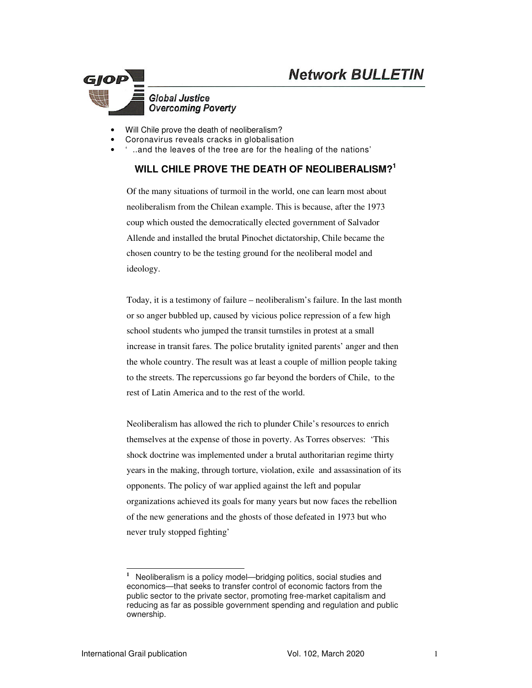

#### • Will Chile prove the death of neoliberalism?

- Coronavirus reveals cracks in globalisation
- ' ..and the leaves of the tree are for the healing of the nations'

## **WILL CHILE PROVE THE DEATH OF NEOLIBERALISM?<sup>1</sup>**

Of the many situations of turmoil in the world, one can learn most about neoliberalism from the Chilean example. This is because, after the 1973 coup which ousted the democratically elected government of Salvador Allende and installed the brutal Pinochet dictatorship, Chile became the chosen country to be the testing ground for the neoliberal model and ideology.

Today, it is a testimony of failure – neoliberalism's failure. In the last month or so anger bubbled up, caused by vicious police repression of a few high school students who jumped the transit turnstiles in protest at a small increase in transit fares. The police brutality ignited parents' anger and then the whole country. The result was at least a couple of million people taking to the streets. The repercussions go far beyond the borders of Chile, to the rest of Latin America and to the rest of the world.

Neoliberalism has allowed the rich to plunder Chile's resources to enrich themselves at the expense of those in poverty. As Torres observes: 'This shock doctrine was implemented under a brutal authoritarian regime thirty years in the making, through torture, violation, exile and assassination of its opponents. The policy of war applied against the left and popular organizations achieved its goals for many years but now faces the rebellion of the new generations and the ghosts of those defeated in 1973 but who never truly stopped fighting'

<sup>-</sup>**1** Neoliberalism is a policy model—bridging politics, social studies and economics—that seeks to transfer control of economic factors from the public sector to the private sector, promoting free-market capitalism and reducing as far as possible government spending and regulation and public ownership.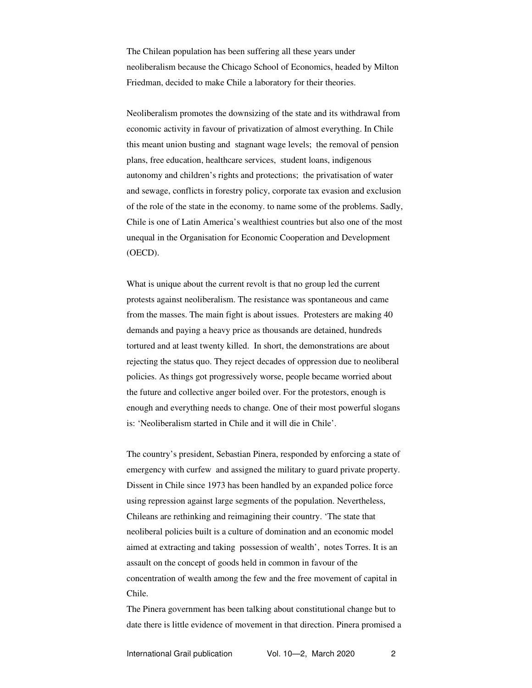The Chilean population has been suffering all these years under neoliberalism because the Chicago School of Economics, headed by Milton Friedman, decided to make Chile a laboratory for their theories.

Neoliberalism promotes the downsizing of the state and its withdrawal from economic activity in favour of privatization of almost everything. In Chile this meant union busting and stagnant wage levels; the removal of pension plans, free education, healthcare services, student loans, indigenous autonomy and children's rights and protections; the privatisation of water and sewage, conflicts in forestry policy, corporate tax evasion and exclusion of the role of the state in the economy. to name some of the problems. Sadly, Chile is one of Latin America's wealthiest countries but also one of the most unequal in the Organisation for Economic Cooperation and Development (OECD).

What is unique about the current revolt is that no group led the current protests against neoliberalism. The resistance was spontaneous and came from the masses. The main fight is about issues. Protesters are making 40 demands and paying a heavy price as thousands are detained, hundreds tortured and at least twenty killed. In short, the demonstrations are about rejecting the status quo. They reject decades of oppression due to neoliberal policies. As things got progressively worse, people became worried about the future and collective anger boiled over. For the protestors, enough is enough and everything needs to change. One of their most powerful slogans is: 'Neoliberalism started in Chile and it will die in Chile'.

The country's president, Sebastian Pinera, responded by enforcing a state of emergency with curfew and assigned the military to guard private property. Dissent in Chile since 1973 has been handled by an expanded police force using repression against large segments of the population. Nevertheless, Chileans are rethinking and reimagining their country. 'The state that neoliberal policies built is a culture of domination and an economic model aimed at extracting and taking possession of wealth', notes Torres. It is an assault on the concept of goods held in common in favour of the concentration of wealth among the few and the free movement of capital in Chile.

The Pinera government has been talking about constitutional change but to date there is little evidence of movement in that direction. Pinera promised a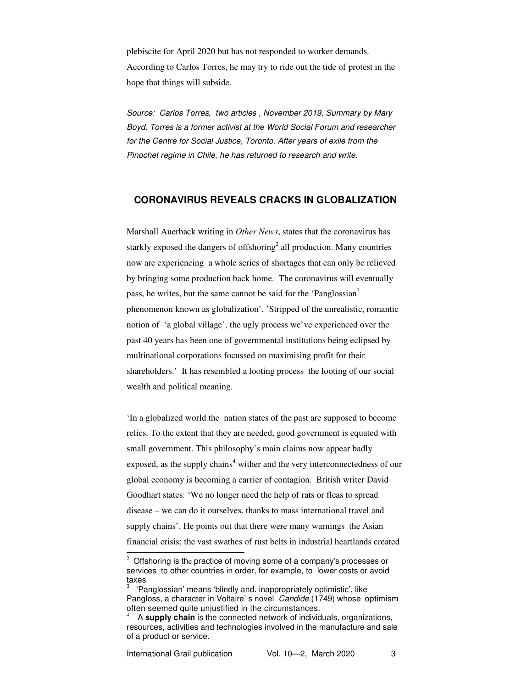plebiscite for April 2020 but has not responded to worker demands. According to Carlos Torres, he may try to ride out the tide of protest in the hope that things will subside.

*Source: Carlos Torres, two articles , November 2019, Summary by Mary Boyd. Torres is a former activist at the World Social Forum and researcher for the Centre for Social Justice, Toronto. After years of exile from the Pinochet regime in Chile, he has returned to research and write.* 

### **CORONAVIRUS REVEALS CRACKS IN GLOBALIZATION**

Marshall Auerback writing in *Other News*, states that the coronavirus has starkly exposed the dangers of offshoring<sup>2</sup> all production. Many countries now are experiencing a whole series of shortages that can only be relieved by bringing some production back home. The coronavirus will eventually pass, he writes, but the same cannot be said for the 'Panglossian<sup>3</sup> phenomenon known as globalization'. 'Stripped of the unrealistic, romantic notion of 'a global village', the ugly process we've experienced over the past 40 years has been one of governmental institutions being eclipsed by multinational corporations focussed on maximising profit for their shareholders.' It has resembled a looting process the looting of our social wealth and political meaning.

'In a globalized world the nation states of the past are supposed to become relics. To the extent that they are needed, good government is equated with small government. This philosophy's main claims now appear badly exposed, as the supply chains<sup>4</sup> wither and the very interconnectedness of our global economy is becoming a carrier of contagion. British writer David Goodhart states: 'We no longer need the help of rats or fleas to spread disease – we can do it ourselves, thanks to mass international travel and supply chains'. He points out that there were many warnings the Asian financial crisis; the vast swathes of rust belts in industrial heartlands created

-

 $2$  Offshoring is the practice of moving some of a company's processes or services to other countries in order, for example, to lower costs or avoid taxes

<sup>3</sup> 'Panglossian' means 'blindly and. inappropriately optimistic', like Pangloss, a character in Voltaire' s novel *Candide* (1749) whoseoptimism often seemed quite unjustified in the circumstances.

<sup>4</sup> A **supply chain** is the connected network of individuals, organizations, resources, activities and technologies involved in the manufacture and sale of a product or service.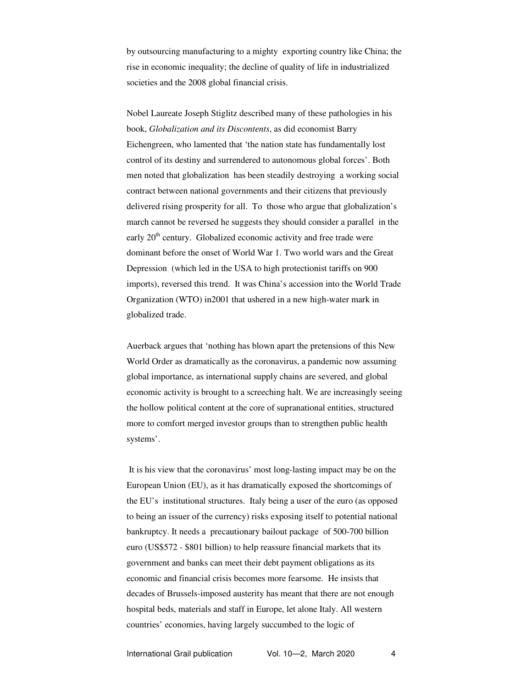by outsourcing manufacturing to a mighty exporting country like China; the rise in economic inequality; the decline of quality of life in industrialized societies and the 2008 global financial crisis.

Nobel Laureate Joseph Stiglitz described many of these pathologies in his book, *Globalization and its Discontents*, as did economist Barry Eichengreen, who lamented that 'the nation state has fundamentally lost control of its destiny and surrendered to autonomous global forces'. Both men noted that globalization has been steadily destroying a working social contract between national governments and their citizens that previously delivered rising prosperity for all. To those who argue that globalization's march cannot be reversed he suggests they should consider a parallel in the early  $20<sup>th</sup>$  century. Globalized economic activity and free trade were dominant before the onset of World War 1. Two world wars and the Great Depression (which led in the USA to high protectionist tariffs on 900 imports), reversed this trend. It was China's accession into the World Trade Organization (WTO) in2001 that ushered in a new high-water mark in globalized trade.

Auerback argues that 'nothing has blown apart the pretensions of this New World Order as dramatically as the coronavirus, a pandemic now assuming global importance, as international supply chains are severed, and global economic activity is brought to a screeching halt. We are increasingly seeing the hollow political content at the core of supranational entities, structured more to comfort merged investor groups than to strengthen public health systems'.

 It is his view that the coronavirus' most long-lasting impact may be on the European Union (EU), as it has dramatically exposed the shortcomings of the EU's institutional structures. Italy being a user of the euro (as opposed to being an issuer of the currency) risks exposing itself to potential national bankruptcy. It needs a precautionary bailout package of 500-700 billion euro (US\$572 - \$801 billion) to help reassure financial markets that its government and banks can meet their debt payment obligations as its economic and financial crisis becomes more fearsome. He insists that decades of Brussels-imposed austerity has meant that there are not enough hospital beds, materials and staff in Europe, let alone Italy. All western countries' economies, having largely succumbed to the logic of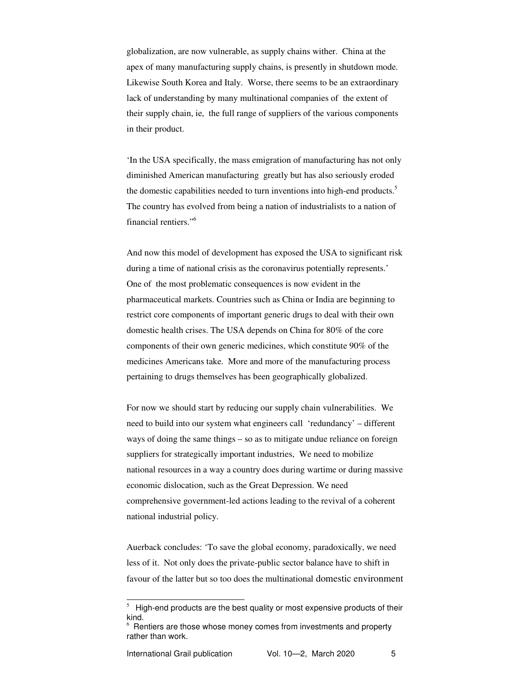globalization, are now vulnerable, as supply chains wither. China at the apex of many manufacturing supply chains, is presently in shutdown mode. Likewise South Korea and Italy. Worse, there seems to be an extraordinary lack of understanding by many multinational companies of the extent of their supply chain, ie, the full range of suppliers of the various components in their product.

'In the USA specifically, the mass emigration of manufacturing has not only diminished American manufacturing greatly but has also seriously eroded the domestic capabilities needed to turn inventions into high-end products.<sup>5</sup> The country has evolved from being a nation of industrialists to a nation of financial rentiers."<sup>6</sup>

And now this model of development has exposed the USA to significant risk during a time of national crisis as the coronavirus potentially represents.' One of the most problematic consequences is now evident in the pharmaceutical markets. Countries such as China or India are beginning to restrict core components of important generic drugs to deal with their own domestic health crises. The USA depends on China for 80% of the core components of their own generic medicines, which constitute 90% of the medicines Americans take. More and more of the manufacturing process pertaining to drugs themselves has been geographically globalized.

For now we should start by reducing our supply chain vulnerabilities. We need to build into our system what engineers call 'redundancy' – different ways of doing the same things – so as to mitigate undue reliance on foreign suppliers for strategically important industries, We need to mobilize national resources in a way a country does during wartime or during massive economic dislocation, such as the Great Depression. We need comprehensive government-led actions leading to the revival of a coherent national industrial policy.

Auerback concludes: 'To save the global economy, paradoxically, we need less of it. Not only does the private-public sector balance have to shift in favour of the latter but so too does the multinational domestic environment

-

 $5$  High-end products are the best quality or most expensive products of their kind.

 $6$  Rentiers are those whose money comes from investments and property rather than work.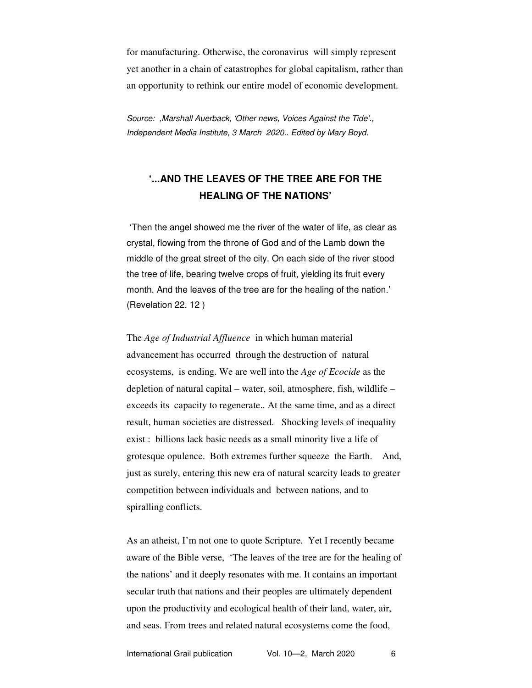for manufacturing. Otherwise, the coronavirus will simply represent yet another in a chain of catastrophes for global capitalism, rather than an opportunity to rethink our entire model of economic development.

*Source: ,Marshall Auerback, 'Other news, Voices Against the Tide'., Independent Media Institute, 3 March 2020.. Edited by Mary Boyd.* 

# **'...AND THE LEAVES OF THE TREE ARE FOR THE HEALING OF THE NATIONS'**

 **'**Then the angel showed me the river of the water of life, as clear as crystal, flowing from the throne of God and of the Lamb down the middle of the great street of the city. On each side of the river stood the tree of life, bearing twelve crops of fruit, yielding its fruit every month. And the leaves of the tree are for the healing of the nation.' (Revelation 22. 12 )

The *Age of Industrial Affluence* in which human material advancement has occurred through the destruction of natural ecosystems, is ending. We are well into the *Age of Ecocide* as the depletion of natural capital – water, soil, atmosphere, fish, wildlife – exceeds its capacity to regenerate.. At the same time, and as a direct result, human societies are distressed. Shocking levels of inequality exist : billions lack basic needs as a small minority live a life of grotesque opulence. Both extremes further squeeze the Earth. And, just as surely, entering this new era of natural scarcity leads to greater competition between individuals and between nations, and to spiralling conflicts.

As an atheist, I'm not one to quote Scripture. Yet I recently became aware of the Bible verse, 'The leaves of the tree are for the healing of the nations' and it deeply resonates with me. It contains an important secular truth that nations and their peoples are ultimately dependent upon the productivity and ecological health of their land, water, air, and seas. From trees and related natural ecosystems come the food,